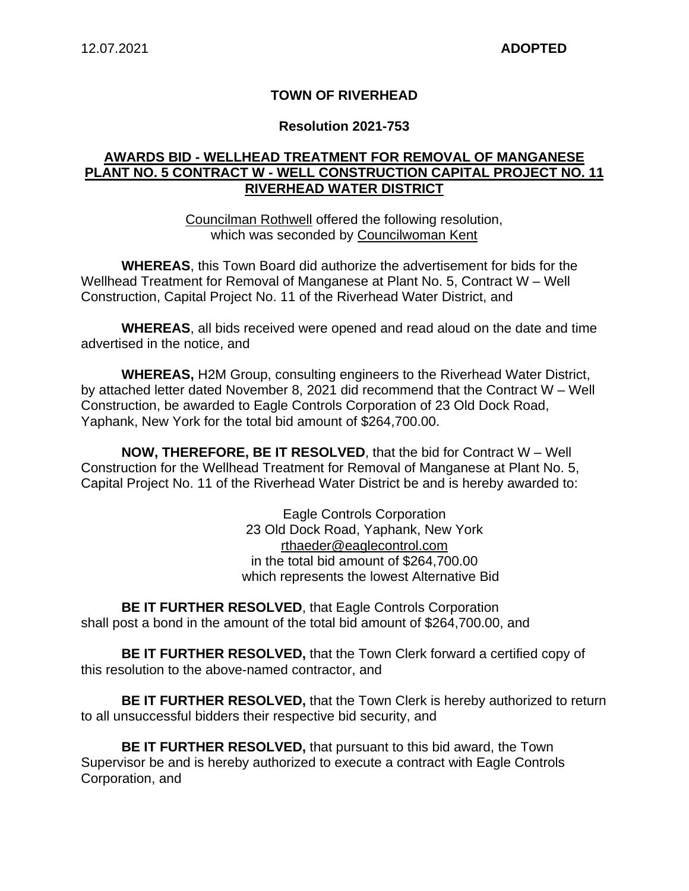### **TOWN OF RIVERHEAD**

#### **Resolution 2021-753**

### **AWARDS BID - WELLHEAD TREATMENT FOR REMOVAL OF MANGANESE PLANT NO. 5 CONTRACT W - WELL CONSTRUCTION CAPITAL PROJECT NO. 11 RIVERHEAD WATER DISTRICT**

Councilman Rothwell offered the following resolution, which was seconded by Councilwoman Kent

**WHEREAS**, this Town Board did authorize the advertisement for bids for the Wellhead Treatment for Removal of Manganese at Plant No. 5, Contract W – Well Construction, Capital Project No. 11 of the Riverhead Water District, and

**WHEREAS**, all bids received were opened and read aloud on the date and time advertised in the notice, and

**WHEREAS,** H2M Group, consulting engineers to the Riverhead Water District, by attached letter dated November 8, 2021 did recommend that the Contract W – Well Construction, be awarded to Eagle Controls Corporation of 23 Old Dock Road, Yaphank, New York for the total bid amount of \$264,700.00.

**NOW, THEREFORE, BE IT RESOLVED**, that the bid for Contract W – Well Construction for the Wellhead Treatment for Removal of Manganese at Plant No. 5, Capital Project No. 11 of the Riverhead Water District be and is hereby awarded to:

> Eagle Controls Corporation 23 Old Dock Road, Yaphank, New York rthaeder@eaglecontrol.com in the total bid amount of \$264,700.00 which represents the lowest Alternative Bid

**BE IT FURTHER RESOLVED, that Eagle Controls Corporation** shall post a bond in the amount of the total bid amount of \$264,700.00, and

**BE IT FURTHER RESOLVED,** that the Town Clerk forward a certified copy of this resolution to the above-named contractor, and

**BE IT FURTHER RESOLVED,** that the Town Clerk is hereby authorized to return to all unsuccessful bidders their respective bid security, and

**BE IT FURTHER RESOLVED,** that pursuant to this bid award, the Town Supervisor be and is hereby authorized to execute a contract with Eagle Controls Corporation, and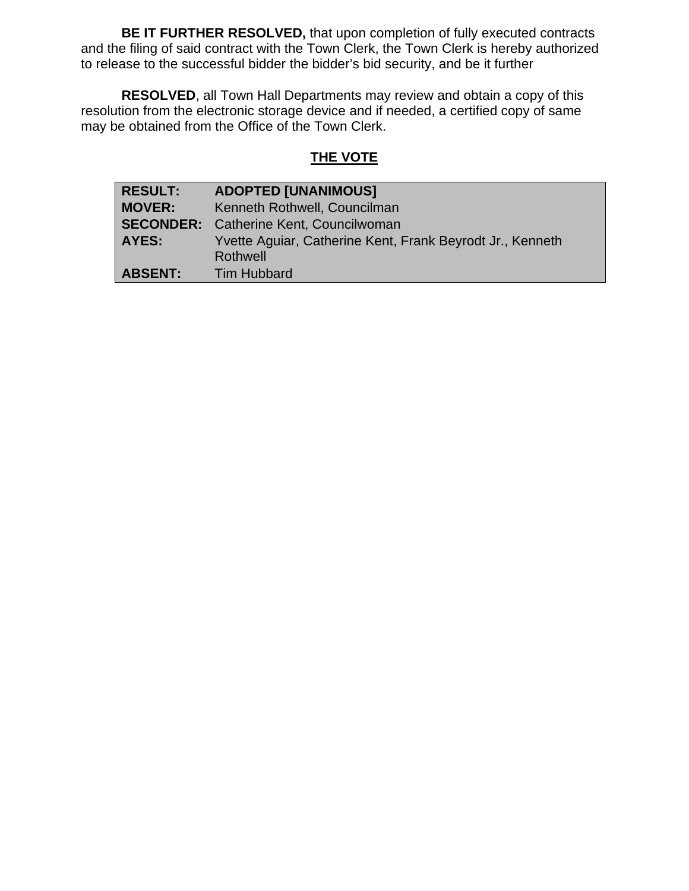**BE IT FURTHER RESOLVED,** that upon completion of fully executed contracts and the filing of said contract with the Town Clerk, the Town Clerk is hereby authorized to release to the successful bidder the bidder's bid security, and be it further

**RESOLVED**, all Town Hall Departments may review and obtain a copy of this resolution from the electronic storage device and if needed, a certified copy of same may be obtained from the Office of the Town Clerk.

# **THE VOTE**

| <b>RESULT:</b> | <b>ADOPTED [UNANIMOUS]</b>                                |  |
|----------------|-----------------------------------------------------------|--|
| <b>MOVER:</b>  | Kenneth Rothwell, Councilman                              |  |
|                | <b>SECONDER:</b> Catherine Kent, Councilwoman             |  |
| <b>AYES:</b>   | Yvette Aguiar, Catherine Kent, Frank Beyrodt Jr., Kenneth |  |
|                | Rothwell                                                  |  |
| <b>ABSENT:</b> | <b>Tim Hubbard</b>                                        |  |